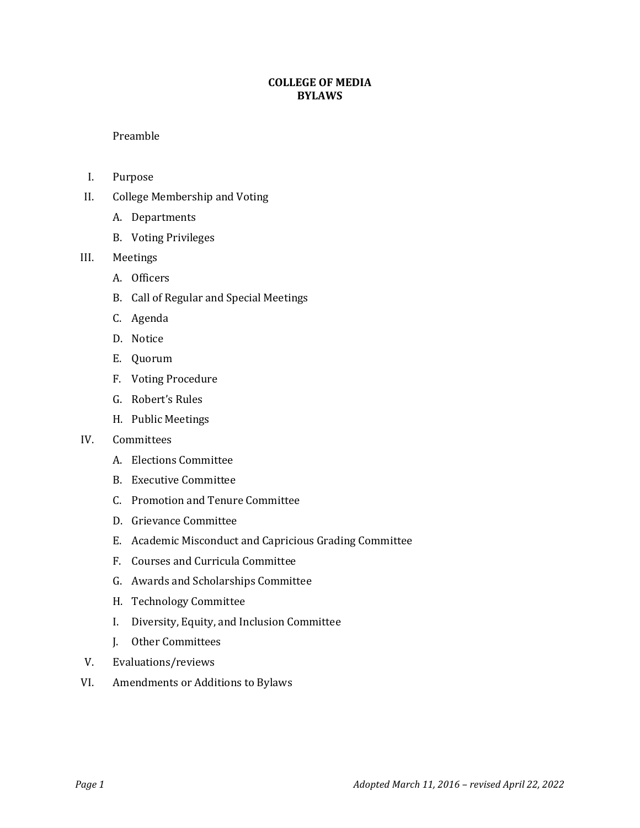# **COLLEGE OF MEDIA BYLAWS**

Preamble

- I. Purpose
- II. College Membership and Voting
	- A. Departments
	- B. Voting Privileges
- III. Meetings
	- A. Officers
	- B. Call of Regular and Special Meetings
	- C. Agenda
	- D. Notice
	- E. Quorum
	- F. Voting Procedure
	- G. Robert's Rules
	- H. Public Meetings

#### IV. Committees

- A. Elections Committee
- B. Executive Committee
- C. Promotion and Tenure Committee
- D. Grievance Committee
- E. Academic Misconduct and Capricious Grading Committee
- F. Courses and Curricula Committee
- G. Awards and Scholarships Committee
- H. Technology Committee
- I. Diversity, Equity, and Inclusion Committee
- J. Other Committees
- V. Evaluations/reviews
- VI. Amendments or Additions to Bylaws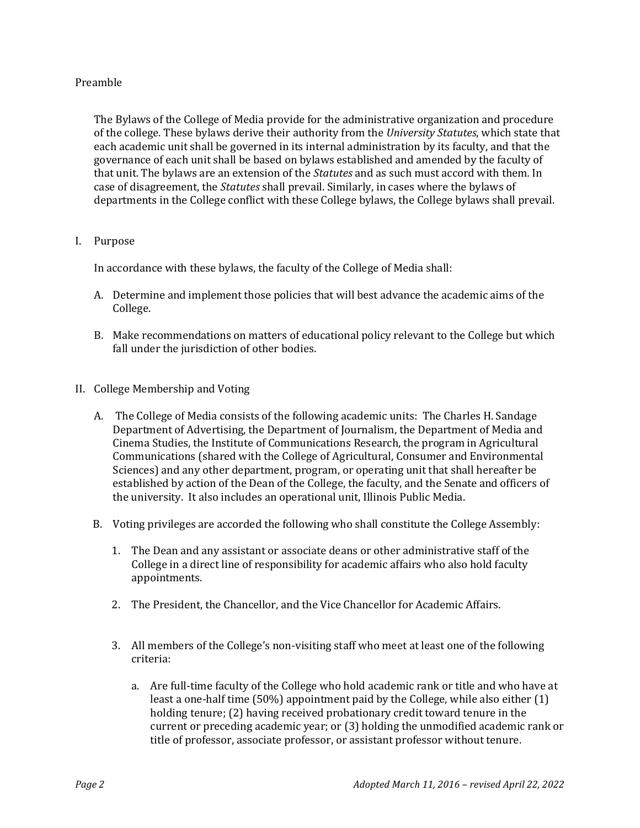# Preamble

The Bylaws of the College of Media provide for the administrative organization and procedure of the college. These bylaws derive their authority from the *University Statutes*, which state that each academic unit shall be governed in its internal administration by its faculty, and that the governance of each unit shall be based on bylaws established and amended by the faculty of that unit. The bylaws are an extension of the *Statutes* and as such must accord with them*.* In case of disagreement, the *Statutes* shall prevail. Similarly, in cases where the bylaws of departments in the College conflict with these College bylaws, the College bylaws shall prevail.

#### I. Purpose

In accordance with these bylaws, the faculty of the College of Media shall:

- A. Determine and implement those policies that will best advance the academic aims of the College.
- B. Make recommendations on matters of educational policy relevant to the College but which fall under the jurisdiction of other bodies.
- II. College Membership and Voting
	- A. The College of Media consists of the following academic units: The Charles H. Sandage Department of Advertising, the Department of Journalism, the Department of Media and Cinema Studies, the Institute of Communications Research, the program in Agricultural Communications (shared with the College of Agricultural, Consumer and Environmental Sciences) and any other department, program, or operating unit that shall hereafter be established by action of the Dean of the College, the faculty, and the Senate and officers of the university. It also includes an operational unit, Illinois Public Media.
	- B. Voting privileges are accorded the following who shall constitute the College Assembly:
		- 1. The Dean and any assistant or associate deans or other administrative staff of the College in a direct line of responsibility for academic affairs who also hold faculty appointments.
		- 2. The President, the Chancellor, and the Vice Chancellor for Academic Affairs.
		- 3. All members of the College's non-visiting staff who meet at least one of the following criteria:
			- a. Are full-time faculty of the College who hold academic rank or title and who have at least a one-half time (50%) appointment paid by the College, while also either (1) holding tenure; (2) having received probationary credit toward tenure in the current or preceding academic year; or (3) holding the unmodified academic rank or title of professor, associate professor, or assistant professor without tenure.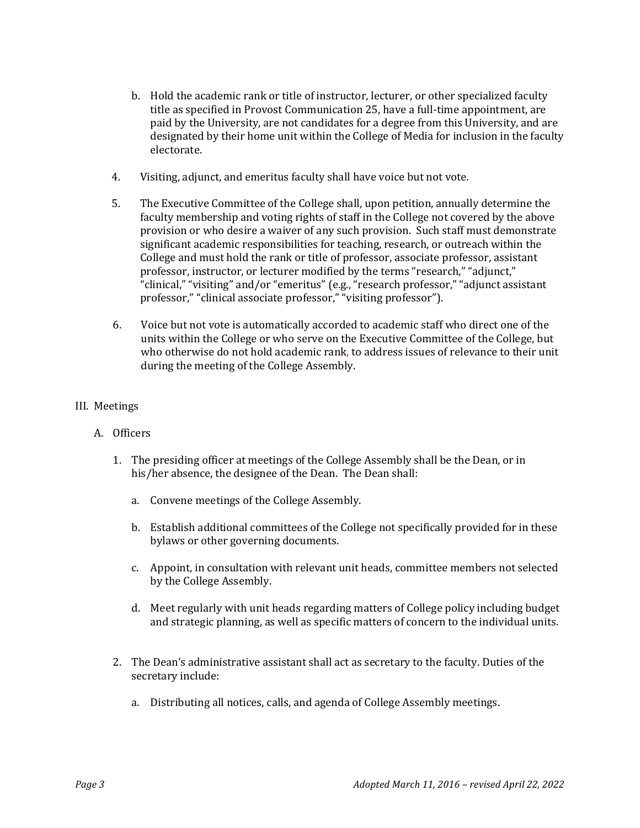- b. Hold the academic rank or title of instructor, lecturer, or other specialized faculty title as specified in Provost Communication 25, have a full-time appointment, are paid by the University, are not candidates for a degree from this University, and are designated by their home unit within the College of Media for inclusion in the faculty electorate.
- 4. Visiting, adjunct, and emeritus faculty shall have voice but not vote.
- 5. The Executive Committee of the College shall, upon petition, annually determine the faculty membership and voting rights of staff in the College not covered by the above provision or who desire a waiver of any such provision. Such staff must demonstrate significant academic responsibilities for teaching, research, or outreach within the College and must hold the rank or title of professor, associate professor, assistant professor, instructor, or lecturer modified by the terms "research," "adjunct," "clinical," "visiting" and/or "emeritus" (e.g., "research professor," "adjunct assistant professor," "clinical associate professor," "visiting professor").
- 6. Voice but not vote is automatically accorded to academic staff who direct one of the units within the College or who serve on the Executive Committee of the College, but who otherwise do not hold academic rank, to address issues of relevance to their unit during the meeting of the College Assembly.

#### III. Meetings

- A. Officers
	- 1. The presiding officer at meetings of the College Assembly shall be the Dean, or in his/her absence, the designee of the Dean. The Dean shall:
		- a. Convene meetings of the College Assembly.
		- b. Establish additional committees of the College not specifically provided for in these bylaws or other governing documents.
		- c. Appoint, in consultation with relevant unit heads, committee members not selected by the College Assembly.
		- d. Meet regularly with unit heads regarding matters of College policy including budget and strategic planning, as well as specific matters of concern to the individual units.
	- 2. The Dean's administrative assistant shall act as secretary to the faculty. Duties of the secretary include:
		- a. Distributing all notices, calls, and agenda of College Assembly meetings.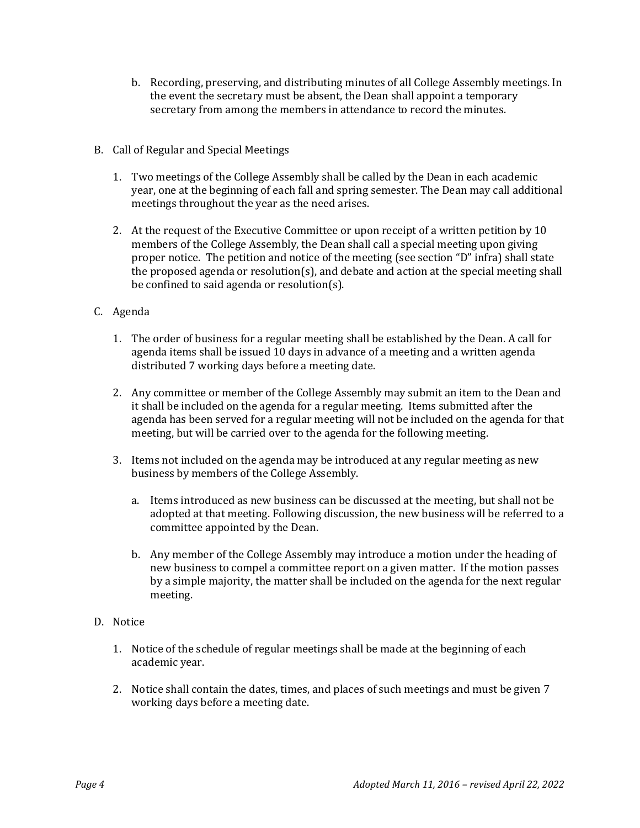- b. Recording, preserving, and distributing minutes of all College Assembly meetings. In the event the secretary must be absent, the Dean shall appoint a temporary secretary from among the members in attendance to record the minutes.
- B. Call of Regular and Special Meetings
	- 1. Two meetings of the College Assembly shall be called by the Dean in each academic year, one at the beginning of each fall and spring semester. The Dean may call additional meetings throughout the year as the need arises.
	- 2. At the request of the Executive Committee or upon receipt of a written petition by 10 members of the College Assembly, the Dean shall call a special meeting upon giving proper notice. The petition and notice of the meeting (see section "D" infra) shall state the proposed agenda or resolution(s), and debate and action at the special meeting shall be confined to said agenda or resolution(s).
- C. Agenda
	- 1. The order of business for a regular meeting shall be established by the Dean. A call for agenda items shall be issued 10 days in advance of a meeting and a written agenda distributed 7 working days before a meeting date.
	- 2. Any committee or member of the College Assembly may submit an item to the Dean and it shall be included on the agenda for a regular meeting. Items submitted after the agenda has been served for a regular meeting will not be included on the agenda for that meeting, but will be carried over to the agenda for the following meeting.
	- 3. Items not included on the agenda may be introduced at any regular meeting as new business by members of the College Assembly.
		- a. Items introduced as new business can be discussed at the meeting, but shall not be adopted at that meeting. Following discussion, the new business will be referred to a committee appointed by the Dean.
		- b. Any member of the College Assembly may introduce a motion under the heading of new business to compel a committee report on a given matter. If the motion passes by a simple majority, the matter shall be included on the agenda for the next regular meeting.
- D. Notice
	- 1. Notice of the schedule of regular meetings shall be made at the beginning of each academic year.
	- 2. Notice shall contain the dates, times, and places of such meetings and must be given 7 working days before a meeting date.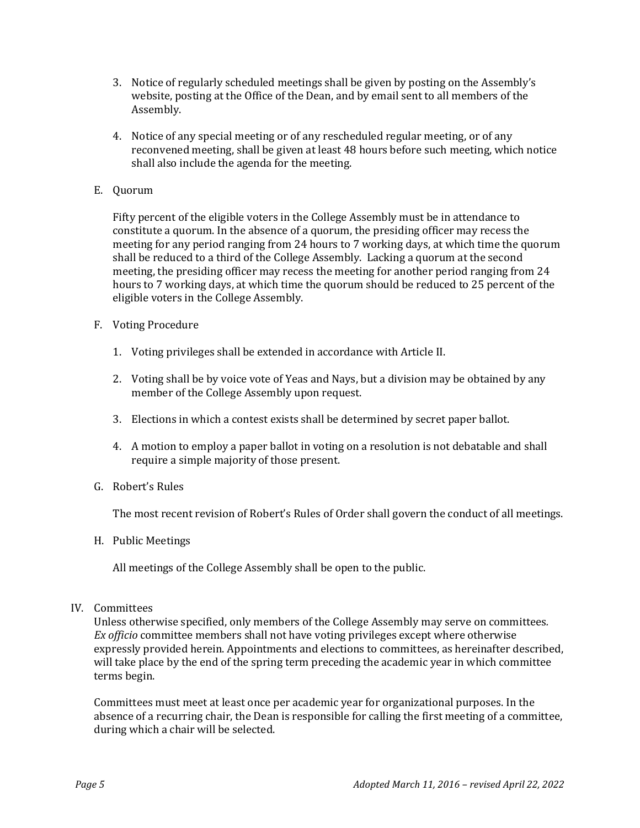- 3. Notice of regularly scheduled meetings shall be given by posting on the Assembly's website, posting at the Office of the Dean, and by email sent to all members of the Assembly.
- 4. Notice of any special meeting or of any rescheduled regular meeting, or of any reconvened meeting, shall be given at least 48 hours before such meeting, which notice shall also include the agenda for the meeting.
- E. Quorum

Fifty percent of the eligible voters in the College Assembly must be in attendance to constitute a quorum. In the absence of a quorum, the presiding officer may recess the meeting for any period ranging from 24 hours to 7 working days, at which time the quorum shall be reduced to a third of the College Assembly. Lacking a quorum at the second meeting, the presiding officer may recess the meeting for another period ranging from 24 hours to 7 working days, at which time the quorum should be reduced to 25 percent of the eligible voters in the College Assembly.

- F. Voting Procedure
	- 1. Voting privileges shall be extended in accordance with Article II.
	- 2. Voting shall be by voice vote of Yeas and Nays, but a division may be obtained by any member of the College Assembly upon request.
	- 3. Elections in which a contest exists shall be determined by secret paper ballot.
	- 4. A motion to employ a paper ballot in voting on a resolution is not debatable and shall require a simple majority of those present.
- G. Robert's Rules

The most recent revision of Robert's Rules of Order shall govern the conduct of all meetings.

H. Public Meetings

All meetings of the College Assembly shall be open to the public.

#### IV. Committees

Unless otherwise specified, only members of the College Assembly may serve on committees*. Ex officio* committee members shall not have voting privileges except where otherwise expressly provided herein. Appointments and elections to committees, as hereinafter described, will take place by the end of the spring term preceding the academic year in which committee terms begin.

Committees must meet at least once per academic year for organizational purposes. In the absence of a recurring chair, the Dean is responsible for calling the first meeting of a committee, during which a chair will be selected.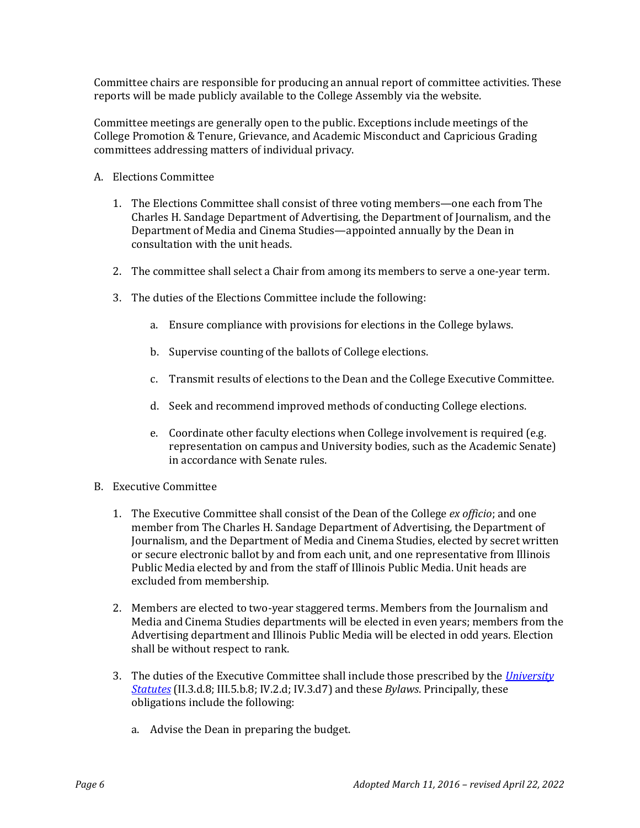Committee chairs are responsible for producing an annual report of committee activities. These reports will be made publicly available to the College Assembly via the website.

Committee meetings are generally open to the public. Exceptions include meetings of the College Promotion & Tenure, Grievance, and Academic Misconduct and Capricious Grading committees addressing matters of individual privacy.

- A. Elections Committee
	- 1. The Elections Committee shall consist of three voting members—one each from The Charles H. Sandage Department of Advertising, the Department of Journalism, and the Department of Media and Cinema Studies—appointed annually by the Dean in consultation with the unit heads.
	- 2. The committee shall select a Chair from among its members to serve a one-year term.
	- 3. The duties of the Elections Committee include the following:
		- a. Ensure compliance with provisions for elections in the College bylaws.
		- b. Supervise counting of the ballots of College elections.
		- c. Transmit results of elections to the Dean and the College Executive Committee.
		- d. Seek and recommend improved methods of conducting College elections.
		- e. Coordinate other faculty elections when College involvement is required (e.g. representation on campus and University bodies, such as the Academic Senate) in accordance with Senate rules.
- B. Executive Committee
	- 1. The Executive Committee shall consist of the Dean of the College *ex officio*; and one member from The Charles H. Sandage Department of Advertising, the Department of Journalism, and the Department of Media and Cinema Studies, elected by secret written or secure electronic ballot by and from each unit, and one representative from Illinois Public Media elected by and from the staff of Illinois Public Media. Unit heads are excluded from membership.
	- 2. Members are elected to two-year staggered terms. Members from the Journalism and Media and Cinema Studies departments will be elected in even years; members from the Advertising department and Illinois Public Media will be elected in odd years. Election shall be without respect to rank.
	- 3. The duties of the Executive Committee shall include those prescribed by the *[University](http://www.uillinois.edu/trustees/statutes.html)  [Statutes](http://www.uillinois.edu/trustees/statutes.html)* (II.3.d.8; III.5.b.8; IV.2.d; IV.3.d7) and these *Bylaws*. Principally, these obligations include the following:
		- a. Advise the Dean in preparing the budget.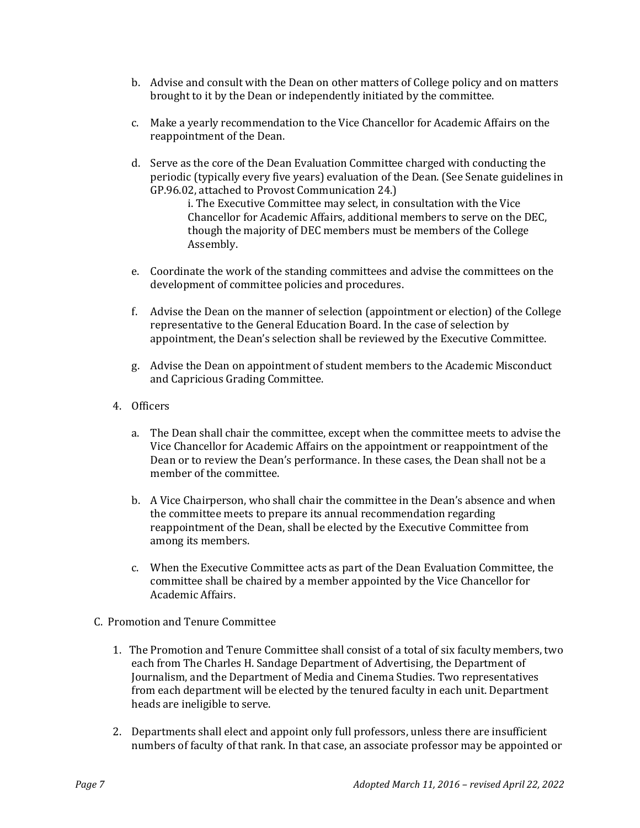- b. Advise and consult with the Dean on other matters of College policy and on matters brought to it by the Dean or independently initiated by the committee.
- c. Make a yearly recommendation to the Vice Chancellor for Academic Affairs on the reappointment of the Dean.
- d. Serve as the core of the Dean Evaluation Committee charged with conducting the periodic (typically every five years) evaluation of the Dean. (See Senate guidelines in GP.96.02, attached to Provost Communication 24.)

i. The Executive Committee may select, in consultation with the Vice Chancellor for Academic Affairs, additional members to serve on the DEC, though the majority of DEC members must be members of the College Assembly.

- e. Coordinate the work of the standing committees and advise the committees on the development of committee policies and procedures.
- f. Advise the Dean on the manner of selection (appointment or election) of the College representative to the General Education Board. In the case of selection by appointment, the Dean's selection shall be reviewed by the Executive Committee.
- g. Advise the Dean on appointment of student members to the Academic Misconduct and Capricious Grading Committee.
- 4. Officers
	- a. The Dean shall chair the committee, except when the committee meets to advise the Vice Chancellor for Academic Affairs on the appointment or reappointment of the Dean or to review the Dean's performance. In these cases, the Dean shall not be a member of the committee.
	- b. A Vice Chairperson, who shall chair the committee in the Dean's absence and when the committee meets to prepare its annual recommendation regarding reappointment of the Dean, shall be elected by the Executive Committee from among its members.
	- c. When the Executive Committee acts as part of the Dean Evaluation Committee, the committee shall be chaired by a member appointed by the Vice Chancellor for Academic Affairs.
- C. Promotion and Tenure Committee
	- 1. The Promotion and Tenure Committee shall consist of a total of six faculty members, two each from The Charles H. Sandage Department of Advertising, the Department of Journalism, and the Department of Media and Cinema Studies. Two representatives from each department will be elected by the tenured faculty in each unit. Department heads are ineligible to serve.
	- 2. Departments shall elect and appoint only full professors, unless there are insufficient numbers of faculty of that rank. In that case, an associate professor may be appointed or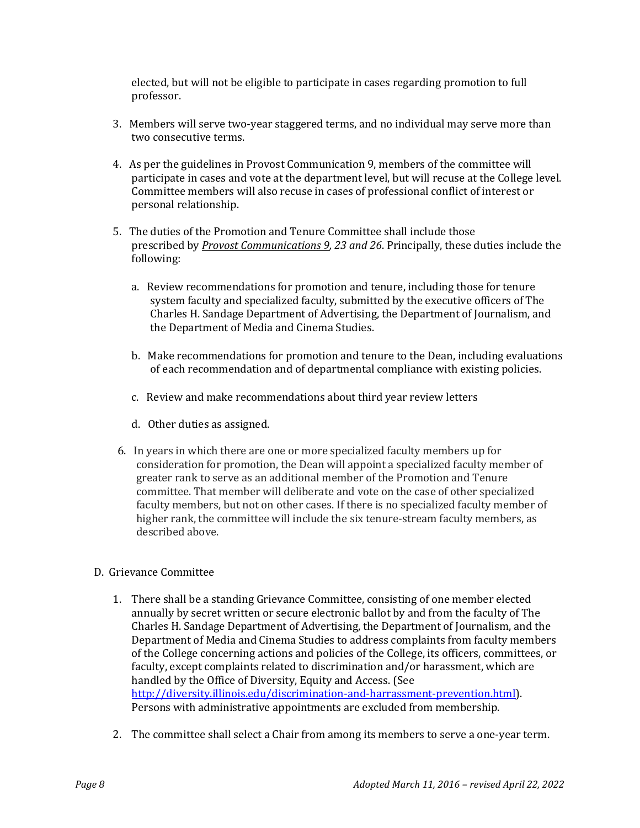elected, but will not be eligible to participate in cases regarding promotion to full professor.

- 3. Members will serve two-year staggered terms, and no individual may serve more than two consecutive terms.
- 4. As per the guidelines in Provost Communication 9, members of the committee will participate in cases and vote at the department level, but will recuse at the College level. Committee members will also recuse in cases of professional conflict of interest or personal relationship.
- 5. The duties of the Promotion and Tenure Committee shall include those prescribed by *[Provost Communications 9,](https://outlook.office.com/owa/redir.aspx?REF=VAvTo0mDz-Lyekn9QVTx6BzNAUqdLQDt90Nr4yjUVG75mWOk9rHWCAFodHRwOi8vd3d3LnVpbGxpbm9pcy5lZHUvdHJ1c3RlZXMvc3RhdHV0ZXMuaHRtbA..) 23 and 26*. Principally, these duties include the following:
	- a. Review recommendations for promotion and tenure, including those for tenure system faculty and specialized faculty, submitted by the executive officers of The Charles H. Sandage Department of Advertising, the Department of Journalism, and the Department of Media and Cinema Studies.
	- b. Make recommendations for promotion and tenure to the Dean, including evaluations of each recommendation and of departmental compliance with existing policies.
	- c. Review and make recommendations about third year review letters
	- d. Other duties as assigned.
- 6. In years in which there are one or more specialized faculty members up for consideration for promotion, the Dean will appoint a specialized faculty member of greater rank to serve as an additional member of the Promotion and Tenure committee. That member will deliberate and vote on the case of other specialized faculty members, but not on other cases. If there is no specialized faculty member of higher rank, the committee will include the six tenure-stream faculty members, as described above.
- D. Grievance Committee
	- 1. There shall be a standing Grievance Committee, consisting of one member elected annually by secret written or secure electronic ballot by and from the faculty of The Charles H. Sandage Department of Advertising, the Department of Journalism, and the Department of Media and Cinema Studies to address complaints from faculty members of the College concerning actions and policies of the College, its officers, committees, or faculty, except complaints related to discrimination and/or harassment, which are handled by the Office of Diversity, Equity and Access. (See [http://diversity.illinois.edu/discrimination-and-harrassment-prevention.html\)](http://diversity.illinois.edu/discrimination-and-harrassment-prevention.html). Persons with administrative appointments are excluded from membership.
	- 2. The committee shall select a Chair from among its members to serve a one-year term.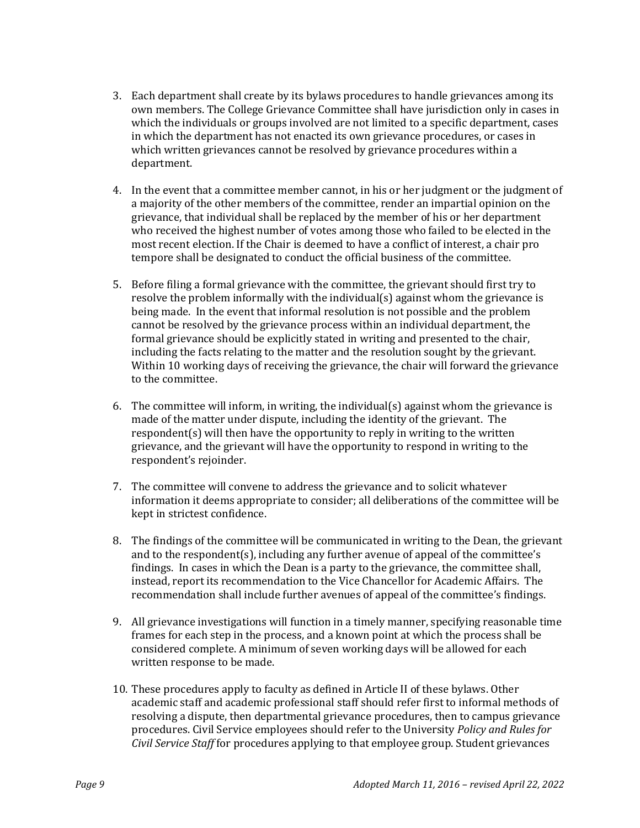- 3. Each department shall create by its bylaws procedures to handle grievances among its own members. The College Grievance Committee shall have jurisdiction only in cases in which the individuals or groups involved are not limited to a specific department, cases in which the department has not enacted its own grievance procedures, or cases in which written grievances cannot be resolved by grievance procedures within a department.
- 4. In the event that a committee member cannot, in his or her judgment or the judgment of a majority of the other members of the committee, render an impartial opinion on the grievance, that individual shall be replaced by the member of his or her department who received the highest number of votes among those who failed to be elected in the most recent election. If the Chair is deemed to have a conflict of interest, a chair pro tempore shall be designated to conduct the official business of the committee.
- 5. Before filing a formal grievance with the committee, the grievant should first try to resolve the problem informally with the individual(s) against whom the grievance is being made. In the event that informal resolution is not possible and the problem cannot be resolved by the grievance process within an individual department, the formal grievance should be explicitly stated in writing and presented to the chair, including the facts relating to the matter and the resolution sought by the grievant. Within 10 working days of receiving the grievance, the chair will forward the grievance to the committee.
- 6. The committee will inform, in writing, the individual(s) against whom the grievance is made of the matter under dispute, including the identity of the grievant. The respondent(s) will then have the opportunity to reply in writing to the written grievance, and the grievant will have the opportunity to respond in writing to the respondent's rejoinder.
- 7. The committee will convene to address the grievance and to solicit whatever information it deems appropriate to consider; all deliberations of the committee will be kept in strictest confidence.
- 8. The findings of the committee will be communicated in writing to the Dean, the grievant and to the respondent(s), including any further avenue of appeal of the committee's findings. In cases in which the Dean is a party to the grievance, the committee shall, instead, report its recommendation to the Vice Chancellor for Academic Affairs. The recommendation shall include further avenues of appeal of the committee's findings.
- 9. All grievance investigations will function in a timely manner, specifying reasonable time frames for each step in the process, and a known point at which the process shall be considered complete. A minimum of seven working days will be allowed for each written response to be made.
- 10. These procedures apply to faculty as defined in Article II of these bylaws. Other academic staff and academic professional staff should refer first to informal methods of resolving a dispute, then departmental grievance procedures, then to campus grievance procedures. Civil Service employees should refer to the University *Policy and Rules for Civil Service Staff* for procedures applying to that employee group. Student grievances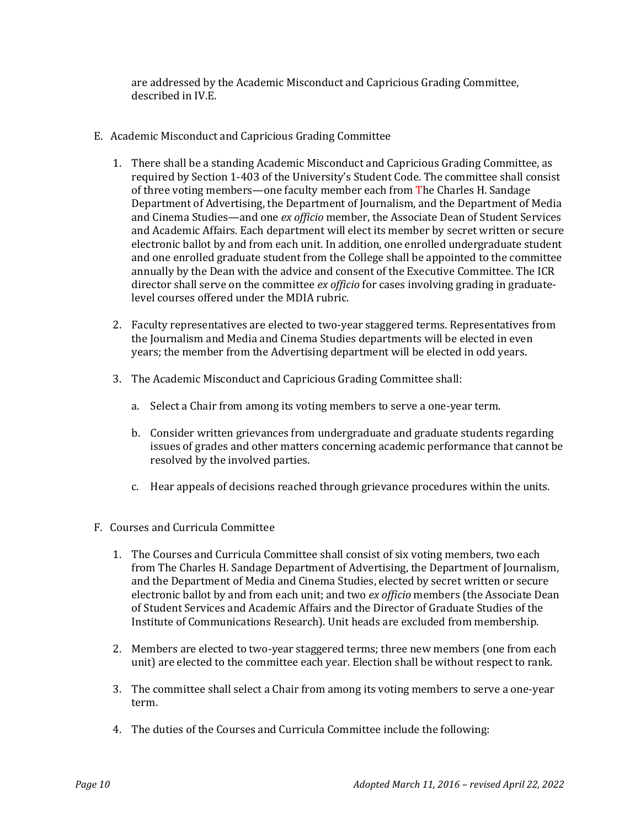are addressed by the Academic Misconduct and Capricious Grading Committee, described in IV.E.

- E. Academic Misconduct and Capricious Grading Committee
	- 1. There shall be a standing Academic Misconduct and Capricious Grading Committee, as required by Section 1-403 of the University's Student Code. The committee shall consist of three voting members—one faculty member each from The Charles H. Sandage Department of Advertising, the Department of Journalism, and the Department of Media and Cinema Studies—and one *ex officio* member, the Associate Dean of Student Services and Academic Affairs. Each department will elect its member by secret written or secure electronic ballot by and from each unit. In addition, one enrolled undergraduate student and one enrolled graduate student from the College shall be appointed to the committee annually by the Dean with the advice and consent of the Executive Committee. The ICR director shall serve on the committee *ex officio* for cases involving grading in graduatelevel courses offered under the MDIA rubric.
	- 2. Faculty representatives are elected to two-year staggered terms. Representatives from the Journalism and Media and Cinema Studies departments will be elected in even years; the member from the Advertising department will be elected in odd years.
	- 3. The Academic Misconduct and Capricious Grading Committee shall:
		- a. Select a Chair from among its voting members to serve a one-year term.
		- b. Consider written grievances from undergraduate and graduate students regarding issues of grades and other matters concerning academic performance that cannot be resolved by the involved parties.
		- c. Hear appeals of decisions reached through grievance procedures within the units.
- F. Courses and Curricula Committee
	- 1. The Courses and Curricula Committee shall consist of six voting members, two each from The Charles H. Sandage Department of Advertising, the Department of Journalism, and the Department of Media and Cinema Studies, elected by secret written or secure electronic ballot by and from each unit; and two *ex officio* members (the Associate Dean of Student Services and Academic Affairs and the Director of Graduate Studies of the Institute of Communications Research). Unit heads are excluded from membership.
	- 2. Members are elected to two-year staggered terms; three new members (one from each unit) are elected to the committee each year. Election shall be without respect to rank.
	- 3. The committee shall select a Chair from among its voting members to serve a one-year term.
	- 4. The duties of the Courses and Curricula Committee include the following: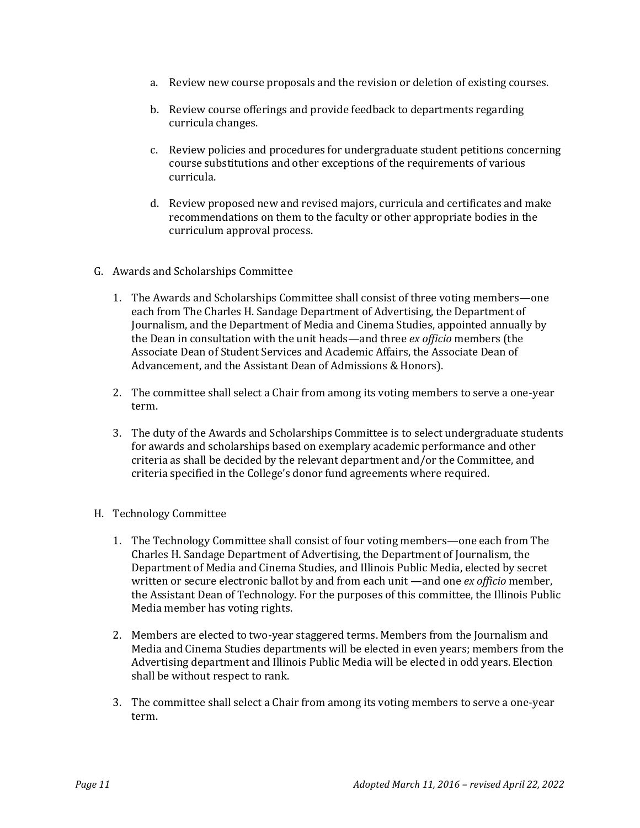- a. Review new course proposals and the revision or deletion of existing courses.
- b. Review course offerings and provide feedback to departments regarding curricula changes.
- c. Review policies and procedures for undergraduate student petitions concerning course substitutions and other exceptions of the requirements of various curricula.
- d. Review proposed new and revised majors, curricula and certificates and make recommendations on them to the faculty or other appropriate bodies in the curriculum approval process.
- G. Awards and Scholarships Committee
	- 1. The Awards and Scholarships Committee shall consist of three voting members—one each from The Charles H. Sandage Department of Advertising, the Department of Journalism, and the Department of Media and Cinema Studies, appointed annually by the Dean in consultation with the unit heads—and three *ex officio* members (the Associate Dean of Student Services and Academic Affairs, the Associate Dean of Advancement, and the Assistant Dean of Admissions & Honors).
	- 2. The committee shall select a Chair from among its voting members to serve a one-year term.
	- 3. The duty of the Awards and Scholarships Committee is to select undergraduate students for awards and scholarships based on exemplary academic performance and other criteria as shall be decided by the relevant department and/or the Committee, and criteria specified in the College's donor fund agreements where required.
- H. Technology Committee
	- 1. The Technology Committee shall consist of four voting members—one each from The Charles H. Sandage Department of Advertising, the Department of Journalism, the Department of Media and Cinema Studies, and Illinois Public Media, elected by secret written or secure electronic ballot by and from each unit —and one *ex officio* member, the Assistant Dean of Technology. For the purposes of this committee, the Illinois Public Media member has voting rights.
	- 2. Members are elected to two-year staggered terms. Members from the Journalism and Media and Cinema Studies departments will be elected in even years; members from the Advertising department and Illinois Public Media will be elected in odd years. Election shall be without respect to rank.
	- 3. The committee shall select a Chair from among its voting members to serve a one-year term.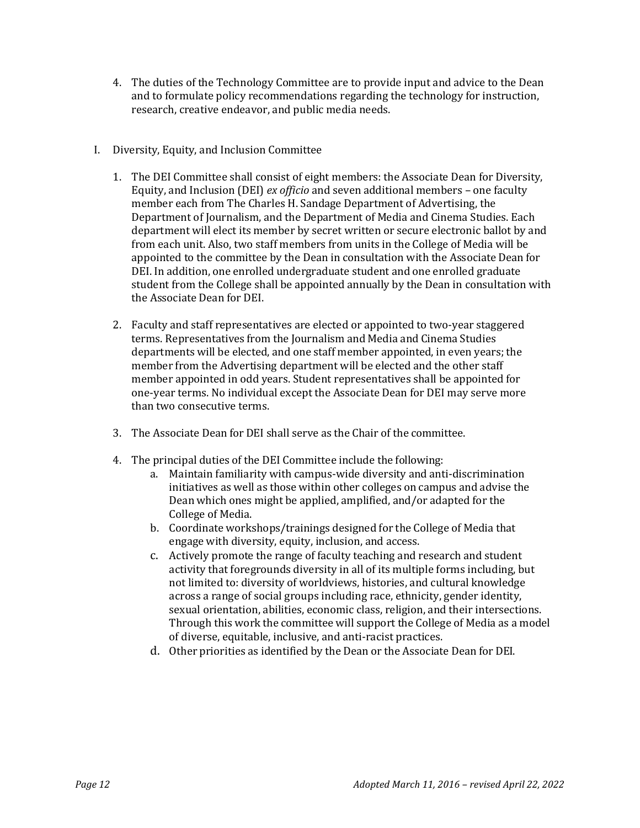- 4. The duties of the Technology Committee are to provide input and advice to the Dean and to formulate policy recommendations regarding the technology for instruction, research, creative endeavor, and public media needs.
- I. Diversity, Equity, and Inclusion Committee
	- 1. The DEI Committee shall consist of eight members: the Associate Dean for Diversity, Equity, and Inclusion (DEI) *ex officio* and seven additional members – one faculty member each from The Charles H. Sandage Department of Advertising, the Department of Journalism, and the Department of Media and Cinema Studies. Each department will elect its member by secret written or secure electronic ballot by and from each unit. Also, two staff members from units in the College of Media will be appointed to the committee by the Dean in consultation with the Associate Dean for DEI. In addition, one enrolled undergraduate student and one enrolled graduate student from the College shall be appointed annually by the Dean in consultation with the Associate Dean for DEI.
	- 2. Faculty and staff representatives are elected or appointed to two-year staggered terms. Representatives from the Journalism and Media and Cinema Studies departments will be elected, and one staff member appointed, in even years; the member from the Advertising department will be elected and the other staff member appointed in odd years. Student representatives shall be appointed for one-year terms. No individual except the Associate Dean for DEI may serve more than two consecutive terms.
	- 3. The Associate Dean for DEI shall serve as the Chair of the committee.
	- 4. The principal duties of the DEI Committee include the following:
		- a. Maintain familiarity with campus-wide diversity and anti-discrimination initiatives as well as those within other colleges on campus and advise the Dean which ones might be applied, amplified, and/or adapted for the College of Media.
		- b. Coordinate workshops/trainings designed for the College of Media that engage with diversity, equity, inclusion, and access.
		- c. Actively promote the range of faculty teaching and research and student activity that foregrounds diversity in all of its multiple forms including, but not limited to: diversity of worldviews, histories, and cultural knowledge across a range of social groups including race, ethnicity, gender identity, sexual orientation, abilities, economic class, religion, and their intersections. Through this work the committee will support the College of Media as a model of diverse, equitable, inclusive, and anti-racist practices.
		- d. Other priorities as identified by the Dean or the Associate Dean for DEI.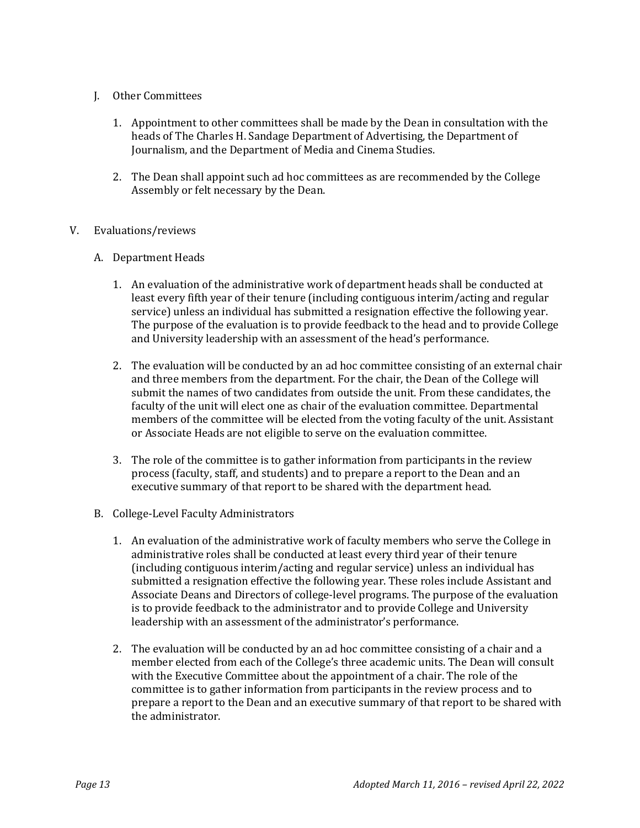# J. Other Committees

- 1. Appointment to other committees shall be made by the Dean in consultation with the heads of The Charles H. Sandage Department of Advertising, the Department of Journalism, and the Department of Media and Cinema Studies.
- 2. The Dean shall appoint such ad hoc committees as are recommended by the College Assembly or felt necessary by the Dean.

### V. Evaluations/reviews

- A. Department Heads
	- 1. An evaluation of the administrative work of department heads shall be conducted at least every fifth year of their tenure (including contiguous interim/acting and regular service) unless an individual has submitted a resignation effective the following year. The purpose of the evaluation is to provide feedback to the head and to provide College and University leadership with an assessment of the head's performance.
	- 2. The evaluation will be conducted by an ad hoc committee consisting of an external chair and three members from the department. For the chair, the Dean of the College will submit the names of two candidates from outside the unit. From these candidates, the faculty of the unit will elect one as chair of the evaluation committee. Departmental members of the committee will be elected from the voting faculty of the unit. Assistant or Associate Heads are not eligible to serve on the evaluation committee.
	- 3. The role of the committee is to gather information from participants in the review process (faculty, staff, and students) and to prepare a report to the Dean and an executive summary of that report to be shared with the department head.
- B. College-Level Faculty Administrators
	- 1. An evaluation of the administrative work of faculty members who serve the College in administrative roles shall be conducted at least every third year of their tenure (including contiguous interim/acting and regular service) unless an individual has submitted a resignation effective the following year. These roles include Assistant and Associate Deans and Directors of college-level programs. The purpose of the evaluation is to provide feedback to the administrator and to provide College and University leadership with an assessment of the administrator's performance.
	- 2. The evaluation will be conducted by an ad hoc committee consisting of a chair and a member elected from each of the College's three academic units. The Dean will consult with the Executive Committee about the appointment of a chair. The role of the committee is to gather information from participants in the review process and to prepare a report to the Dean and an executive summary of that report to be shared with the administrator.